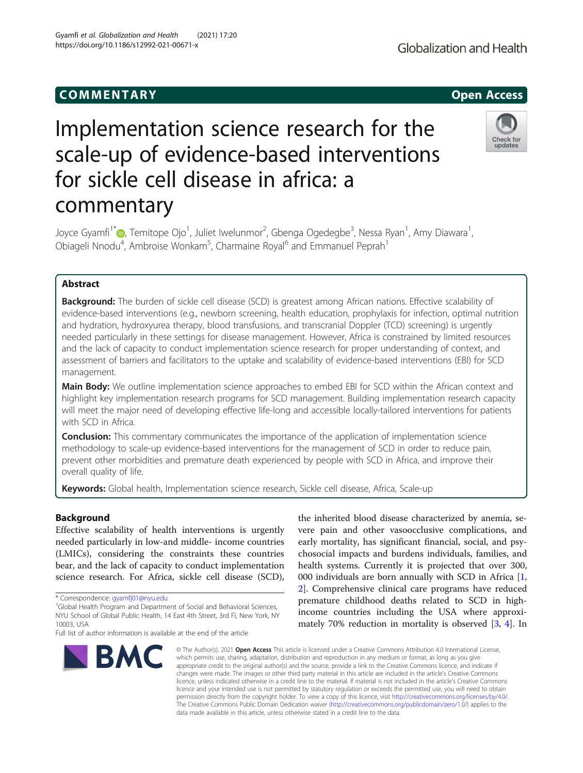## COMM EN TARY Open Access

# Implementation science research for the scale-up of evidence-based interventions for sickle cell disease in africa: a commentary

Joyce Gyamfi<sup>1\*</sup>@[,](http://orcid.org/0000-0001-5037-0833) Temitope Ojo<sup>1</sup>, Juliet Iwelunmor<sup>2</sup>, Gbenga Ogedegbe<sup>3</sup>, Nessa Ryan<sup>1</sup>, Amy Diawara<sup>1</sup> , Obiageli Nnodu<sup>4</sup>, Ambroise Wonkam<sup>5</sup>, Charmaine Royal<sup>6</sup> and Emmanuel Peprah<sup>1</sup>

## Abstract

**Background:** The burden of sickle cell disease (SCD) is greatest among African nations. Effective scalability of evidence-based interventions (e.g., newborn screening, health education, prophylaxis for infection, optimal nutrition and hydration, hydroxyurea therapy, blood transfusions, and transcranial Doppler (TCD) screening) is urgently needed particularly in these settings for disease management. However, Africa is constrained by limited resources and the lack of capacity to conduct implementation science research for proper understanding of context, and assessment of barriers and facilitators to the uptake and scalability of evidence-based interventions (EBI) for SCD management.

Main Body: We outline implementation science approaches to embed EBI for SCD within the African context and highlight key implementation research programs for SCD management. Building implementation research capacity will meet the major need of developing effective life-long and accessible locally-tailored interventions for patients with SCD in Africa.

**Conclusion:** This commentary communicates the importance of the application of implementation science methodology to scale-up evidence-based interventions for the management of SCD in order to reduce pain, prevent other morbidities and premature death experienced by people with SCD in Africa, and improve their overall quality of life.

Keywords: Global health, Implementation science research, Sickle cell disease, Africa, Scale-up

## Background

Effective scalability of health interventions is urgently needed particularly in low-and middle- income countries (LMICs), considering the constraints these countries bear, and the lack of capacity to conduct implementation science research. For Africa, sickle cell disease (SCD),

**BMC** 

## the inherited blood disease characterized by anemia, severe pain and other vasoocclusive complications, and early mortality, has significant financial, social, and psychosocial impacts and burdens individuals, families, and health systems. Currently it is projected that over 300, 000 individuals are born annually with SCD in Africa [[1](#page-2-0), [2\]](#page-2-0). Comprehensive clinical care programs have reduced premature childhood deaths related to SCD in highincome countries including the USA where approximately 70% reduction in mortality is observed [\[3,](#page-2-0) [4\]](#page-2-0). In

© The Author(s), 2021 **Open Access** This article is licensed under a Creative Commons Attribution 4.0 International License, which permits use, sharing, adaptation, distribution and reproduction in any medium or format, as long as you give appropriate credit to the original author(s) and the source, provide a link to the Creative Commons licence, and indicate if changes were made. The images or other third party material in this article are included in the article's Creative Commons licence, unless indicated otherwise in a credit line to the material. If material is not included in the article's Creative Commons licence and your intended use is not permitted by statutory regulation or exceeds the permitted use, you will need to obtain permission directly from the copyright holder. To view a copy of this licence, visit [http://creativecommons.org/licenses/by/4.0/.](http://creativecommons.org/licenses/by/4.0/) The Creative Commons Public Domain Dedication waiver [\(http://creativecommons.org/publicdomain/zero/1.0/](http://creativecommons.org/publicdomain/zero/1.0/)) applies to the data made available in this article, unless otherwise stated in a credit line to the data.

Full list of author information is available at the end of the article







<sup>\*</sup> Correspondence: [gyamfj01@nyu.edu](mailto:gyamfj01@nyu.edu) <sup>1</sup>

<sup>&</sup>lt;sup>1</sup>Global Health Program and Department of Social and Behavioral Sciences, NYU School of Global Public Health, 14 East 4th Street, 3rd Fl, New York, NY 10003, USA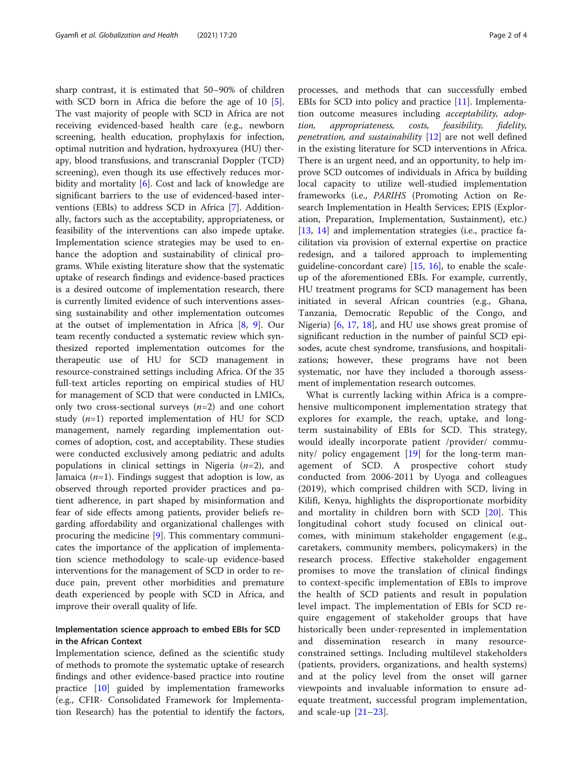sharp contrast, it is estimated that 50–90% of children with SCD born in Africa die before the age of 10 [\[5](#page-3-0)]. The vast majority of people with SCD in Africa are not receiving evidenced-based health care (e.g., newborn screening, health education, prophylaxis for infection, optimal nutrition and hydration, hydroxyurea (HU) therapy, blood transfusions, and transcranial Doppler (TCD) screening), even though its use effectively reduces mor-bidity and mortality [[6](#page-3-0)]. Cost and lack of knowledge are significant barriers to the use of evidenced-based interventions (EBIs) to address SCD in Africa [[7\]](#page-3-0). Additionally, factors such as the acceptability, appropriateness, or feasibility of the interventions can also impede uptake. Implementation science strategies may be used to enhance the adoption and sustainability of clinical programs. While existing literature show that the systematic uptake of research findings and evidence-based practices is a desired outcome of implementation research, there is currently limited evidence of such interventions assessing sustainability and other implementation outcomes at the outset of implementation in Africa [\[8](#page-3-0), [9](#page-3-0)]. Our team recently conducted a systematic review which synthesized reported implementation outcomes for the therapeutic use of HU for SCD management in resource-constrained settings including Africa. Of the 35 full-text articles reporting on empirical studies of HU for management of SCD that were conducted in LMICs, only two cross-sectional surveys  $(n=2)$  and one cohort study  $(n=1)$  reported implementation of HU for SCD management, namely regarding implementation outcomes of adoption, cost, and acceptability. These studies were conducted exclusively among pediatric and adults populations in clinical settings in Nigeria  $(n=2)$ , and Jamaica  $(n=1)$ . Findings suggest that adoption is low, as observed through reported provider practices and patient adherence, in part shaped by misinformation and fear of side effects among patients, provider beliefs regarding affordability and organizational challenges with procuring the medicine [\[9\]](#page-3-0). This commentary communicates the importance of the application of implementation science methodology to scale-up evidence-based interventions for the management of SCD in order to reduce pain, prevent other morbidities and premature death experienced by people with SCD in Africa, and improve their overall quality of life.

## Implementation science approach to embed EBIs for SCD in the African Context

Implementation science, defined as the scientific study of methods to promote the systematic uptake of research findings and other evidence-based practice into routine practice [\[10](#page-3-0)] guided by implementation frameworks (e.g., CFIR- Consolidated Framework for Implementation Research) has the potential to identify the factors,

processes, and methods that can successfully embed EBIs for SCD into policy and practice [\[11](#page-3-0)]. Implementation outcome measures including acceptability, adoption, appropriateness, costs, feasibility, fidelity, penetration, and sustainability [\[12](#page-3-0)] are not well defined in the existing literature for SCD interventions in Africa. There is an urgent need, and an opportunity, to help improve SCD outcomes of individuals in Africa by building local capacity to utilize well-studied implementation frameworks (i.e., PARIHS (Promoting Action on Research Implementation in Health Services; EPIS (Exploration, Preparation, Implementation, Sustainment), etc.) [[13,](#page-3-0) [14\]](#page-3-0) and implementation strategies (i.e., practice facilitation via provision of external expertise on practice redesign, and a tailored approach to implementing guideline-concordant care) [\[15](#page-3-0), [16\]](#page-3-0), to enable the scaleup of the aforementioned EBIs. For example, currently, HU treatment programs for SCD management has been initiated in several African countries (e.g., Ghana, Tanzania, Democratic Republic of the Congo, and Nigeria) [\[6](#page-3-0), [17,](#page-3-0) [18\]](#page-3-0), and HU use shows great promise of significant reduction in the number of painful SCD episodes, acute chest syndrome, transfusions, and hospitalizations; however, these programs have not been systematic, nor have they included a thorough assessment of implementation research outcomes.

What is currently lacking within Africa is a comprehensive multicomponent implementation strategy that explores for example, the reach, uptake, and longterm sustainability of EBIs for SCD. This strategy, would ideally incorporate patient /provider/ community/ policy engagement  $[19]$  $[19]$  $[19]$  for the long-term management of SCD. A prospective cohort study conducted from 2006-2011 by Uyoga and colleagues (2019), which comprised children with SCD, living in Kilifi, Kenya, highlights the disproportionate morbidity and mortality in children born with SCD [\[20](#page-3-0)]. This longitudinal cohort study focused on clinical outcomes, with minimum stakeholder engagement (e.g., caretakers, community members, policymakers) in the research process. Effective stakeholder engagement promises to move the translation of clinical findings to context-specific implementation of EBIs to improve the health of SCD patients and result in population level impact. The implementation of EBIs for SCD require engagement of stakeholder groups that have historically been under-represented in implementation and dissemination research in many resourceconstrained settings. Including multilevel stakeholders (patients, providers, organizations, and health systems) and at the policy level from the onset will garner viewpoints and invaluable information to ensure adequate treatment, successful program implementation, and scale-up  $[21-23]$  $[21-23]$  $[21-23]$ .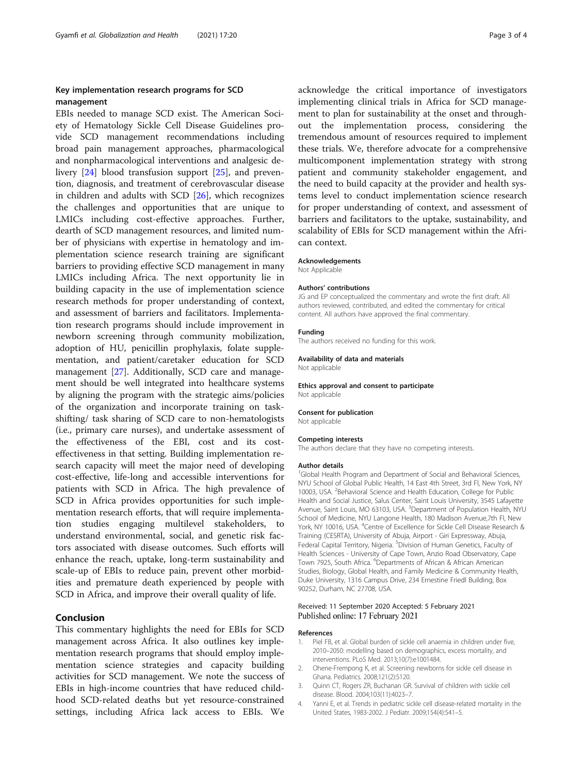## <span id="page-2-0"></span>Key implementation research programs for SCD management

EBIs needed to manage SCD exist. The American Society of Hematology Sickle Cell Disease Guidelines provide SCD management recommendations including broad pain management approaches, pharmacological and nonpharmacological interventions and analgesic delivery [\[24](#page-3-0)] blood transfusion support [\[25](#page-3-0)], and prevention, diagnosis, and treatment of cerebrovascular disease in children and adults with SCD [[26](#page-3-0)], which recognizes the challenges and opportunities that are unique to LMICs including cost-effective approaches. Further, dearth of SCD management resources, and limited number of physicians with expertise in hematology and implementation science research training are significant barriers to providing effective SCD management in many LMICs including Africa. The next opportunity lie in building capacity in the use of implementation science research methods for proper understanding of context, and assessment of barriers and facilitators. Implementation research programs should include improvement in newborn screening through community mobilization, adoption of HU, penicillin prophylaxis, folate supplementation, and patient/caretaker education for SCD management [[27](#page-3-0)]. Additionally, SCD care and management should be well integrated into healthcare systems by aligning the program with the strategic aims/policies of the organization and incorporate training on taskshifting/ task sharing of SCD care to non-hematologists (i.e., primary care nurses), and undertake assessment of the effectiveness of the EBI, cost and its costeffectiveness in that setting. Building implementation research capacity will meet the major need of developing cost-effective, life-long and accessible interventions for patients with SCD in Africa. The high prevalence of SCD in Africa provides opportunities for such implementation research efforts, that will require implementation studies engaging multilevel stakeholders, to understand environmental, social, and genetic risk factors associated with disease outcomes. Such efforts will enhance the reach, uptake, long-term sustainability and scale-up of EBIs to reduce pain, prevent other morbidities and premature death experienced by people with SCD in Africa, and improve their overall quality of life.

## Conclusion

This commentary highlights the need for EBIs for SCD management across Africa. It also outlines key implementation research programs that should employ implementation science strategies and capacity building activities for SCD management. We note the success of EBIs in high-income countries that have reduced childhood SCD-related deaths but yet resource-constrained settings, including Africa lack access to EBIs. We

acknowledge the critical importance of investigators implementing clinical trials in Africa for SCD management to plan for sustainability at the onset and throughout the implementation process, considering the tremendous amount of resources required to implement these trials. We, therefore advocate for a comprehensive multicomponent implementation strategy with strong patient and community stakeholder engagement, and the need to build capacity at the provider and health systems level to conduct implementation science research for proper understanding of context, and assessment of barriers and facilitators to the uptake, sustainability, and scalability of EBIs for SCD management within the African context.

#### Acknowledgements

Not Applicable

#### Authors' contributions

JG and EP conceptualized the commentary and wrote the first draft. All authors reviewed, contributed, and edited the commentary for critical content. All authors have approved the final commentary.

#### Funding

The authors received no funding for this work.

## Availability of data and materials

Not applicable

Ethics approval and consent to participate Not applicable

#### Consent for publication

Not applicable

#### Competing interests

The authors declare that they have no competing interests.

#### Author details

<sup>1</sup>Global Health Program and Department of Social and Behavioral Sciences, NYU School of Global Public Health, 14 East 4th Street, 3rd Fl, New York, NY 10003, USA. <sup>2</sup>Behavioral Science and Health Education, College for Public Health and Social Justice, Salus Center, Saint Louis University, 3545 Lafayette Avenue, Saint Louis, MO 63103, USA. <sup>3</sup>Department of Population Health, NYU School of Medicine, NYU Langone Health, 180 Madison Avenue,7th Fl, New York, NY 10016, USA. <sup>4</sup>Centre of Excellence for Sickle Cell Disease Research & Training (CESRTA), University of Abuja, Airport - Giri Expressway, Abuja, Federal Capital Territory, Nigeria. <sup>5</sup> Division of Human Genetics, Faculty of Health Sciences - University of Cape Town, Anzio Road Observatory, Cape Town 7925, South Africa. <sup>6</sup>Departments of African & African American Studies, Biology, Global Health, and Family Medicine & Community Health, Duke University, 1316 Campus Drive, 234 Ernestine Friedl Building, Box 90252, Durham, NC 27708, USA.

#### Received: 11 September 2020 Accepted: 5 February 2021 Published online: 17 February 2021

#### References

- 1. Piel FB, et al. Global burden of sickle cell anaemia in children under five, 2010–2050: modelling based on demographics, excess mortality, and interventions. PLoS Med. 2013;10(7):e1001484.
- 2. Ohene-Frempong K, et al. Screening newborns for sickle cell disease in Ghana. Pediatrics. 2008;121(2):S120.
- 3. Quinn CT, Rogers ZR, Buchanan GR. Survival of children with sickle cell disease. Blood. 2004;103(11):4023–7.
- 4. Yanni E, et al. Trends in pediatric sickle cell disease-related mortality in the United States, 1983-2002. J Pediatr. 2009;154(4):541–5.